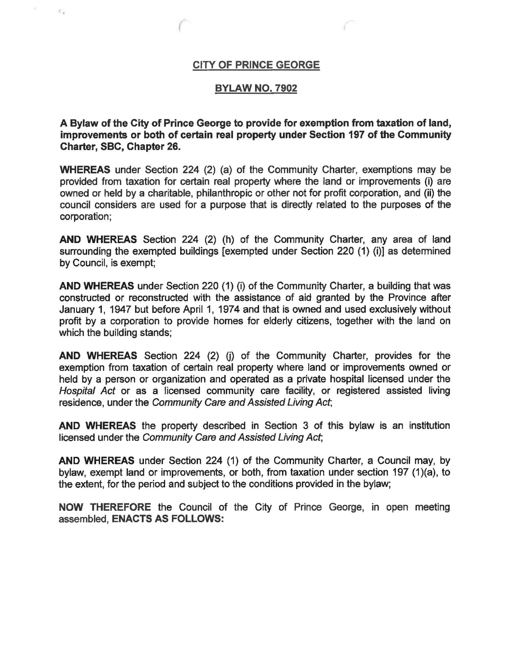## CITY OF PRINCE GEORGE

o.

 $\mathcal{L}_{\mathcal{A}}$ 

#### BYLAW NO. 7902

A Bylaw of the City of Prince George to provide for exemption from taxation of land, improvements or both of certain real property under Section 197 of the Community Charter, SBC, Chapter 26.

WHEREAS under Section 224 (2) (a) of the Community Charter, exemptions may be provided from taxation for certain real property where the land or improvements (i) are owned or held by a charitable, philanthropic or other not for profrt corporation, and (ii) the council considers are used for a purpose that is directly related to the purposes of the corporation;

AND WHEREAS Section 224 (2) (h) of the Community Charter, any area of land surrounding the exempted buildings [exempted under Section 220 (1) (i)] as determined by Council, is exempt;

AND WHEREAS under Section 220 (1) (i) of the Community Charter, a building that was constructed or reconstructed with the assistance of aid granted by the Province after January 1, 1947 but before April 1, 1974 and that is owned and used exclusively without profit by a corporation to provide homes for elderly citizens, together with the land on which the building stands;

AND WHEREAS Section 224 (2) (j} of the Community Charter, provides for the exemption from taxation of certain real property where land or improvements owned or held by a person or organization and operated as a private hospital licensed under the Hospital Act or as a licensed community care facility, or registered assisted living residence, under the Community Care and Assisted Living Act,

AND WHEREAS the property described in Section 3 of this bylaw is an institution licensed under the Community Care and Assisted Living Act,

AND WHEREAS under Section 224 (1) of the Community Charter, a Council may, by bylaw, exempt land or improvements, or both, from taxation under section 197 (1)(a), to the extent, for the period and subject to the conditions provided in the bylaw;

NOW THEREFORE the Council of the City of Prince George, in open meeting assembled, ENACTS AS FOLLOWS: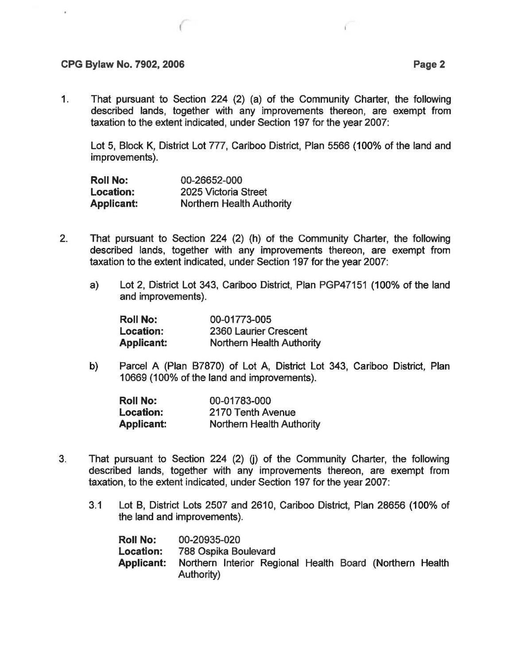## **CPG Bylaw No. 7902, 2006 Page 2**

1. That pursuant to Section 224 (2) (a) of the Community Charter, the following described lands, together with any improvements thereon, are exempt from taxation to the extent indicated, under Section 197 for the year 2007:

Lot 5, Block K, District Lot 777, Cariboo District, Plan 5566 (100% of the land and improvements).

| <b>Roll No:</b>   | 00-26652-000              |  |  |  |
|-------------------|---------------------------|--|--|--|
| <b>Location:</b>  | 2025 Victoria Street      |  |  |  |
| <b>Applicant:</b> | Northern Health Authority |  |  |  |

- 2. That pursuant to Section 224 (2) (h) of the Community Charter, the following described lands, together with any improvements thereon, are exempt from taxation to the extent indicated, under Section 197 for the year 2007:
	- a) Lot 2, District Lot 343, Cariboo District, Plan PGP47151 (100% of the land and improvements).

| <b>Roll No:</b>   | 00-01773-005              |  |  |  |
|-------------------|---------------------------|--|--|--|
| Location:         | 2360 Laurier Crescent     |  |  |  |
| <b>Applicant:</b> | Northern Health Authority |  |  |  |

b) Parcel A (Plan 87870) of Lot A, District Lot 343, Cariboo District, Plan 10669 (100% of the land and improvements).

| <b>Roll No:</b>  | 00-01783-000              |  |  |  |
|------------------|---------------------------|--|--|--|
| <b>Location:</b> | 2170 Tenth Avenue         |  |  |  |
| Applicant:       | Northern Health Authority |  |  |  |

- 3. That pursuant to Section 224 (2) (j) of the Community Charter, the following described lands, together with any improvements thereon, are exempt from taxation, to the extent indicated, under Section 197 for the year 2007:
	- 3.1 Lot B, District Lots 2507 and 2610, Cariboo District, Plan 28656 (100% of the land and improvements).

| <b>Roll No:</b>   | 00-20935-020         |  |  |                                                          |  |
|-------------------|----------------------|--|--|----------------------------------------------------------|--|
| <b>Location:</b>  | 788 Ospika Boulevard |  |  |                                                          |  |
| <b>Applicant:</b> | Authority)           |  |  | Northern Interior Regional Health Board (Northern Health |  |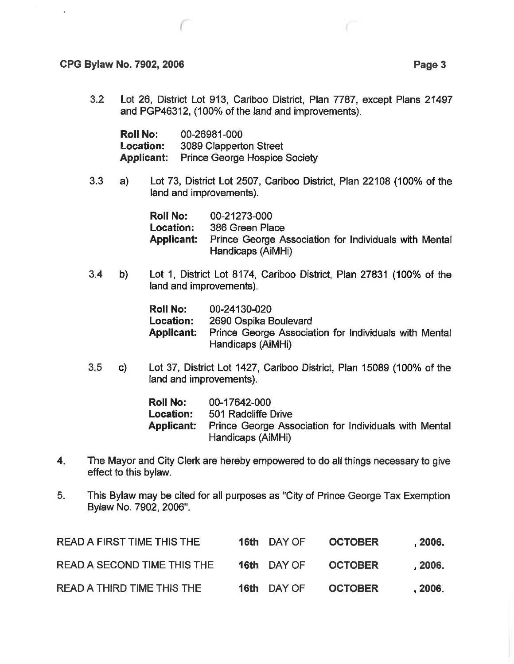### CPG Bylaw No. 7902, 2006 Page 3

3.2 Lot 26, District Lot 913, Cariboo District, Plan 7787, except Plans 21497 and PGP46312, (100% of the land and improvements).

| <b>Roll No:</b>   | 00-26981-000                         |
|-------------------|--------------------------------------|
| <b>Location:</b>  | 3089 Clapperton Street               |
| <b>Applicant:</b> | <b>Prince George Hospice Society</b> |

3.3 a) Lot 73, District Lot 2507, Cariboo District, Plan 22108 (100% of the land and improvements).

| <b>Roll No:</b>   | 00-21273-000                                                               |
|-------------------|----------------------------------------------------------------------------|
| <b>Location:</b>  | 386 Green Place                                                            |
| <b>Applicant:</b> | Prince George Association for Individuals with Mental<br>Handicaps (AiMHi) |

3.4 b) Lot 1, District Lot 8174, Cariboo District, Plan 27831 (100% of the land and improvements).

| <b>Roll No:</b>  | 00-24130-020                                                               |
|------------------|----------------------------------------------------------------------------|
| <b>Location:</b> | 2690 Ospika Boulevard                                                      |
| Applicant:       | Prince George Association for Individuals with Mental<br>Handicaps (AiMHi) |

3.5 c) Lot 37, District Lot 1427, Cariboo District, Plan 15089 (100% of the land and improvements).

> Roll No: Location: Applicant: 00-17642-000 501 Radcliffe Drive Prince George Association for Individuals with Mental Handicaps (AiMHi)

- 4. The Mayor and City Clerk are hereby empowered to do all things necessary to give effect to this bylaw.
- 5. This Bylaw may be cited for all purposes as "City of Prince George Tax Exemption Bylaw No. 7902, 2006".

| <b>READ A FIRST TIME THIS THE</b> | 16th DAY OF | <b>OCTOBER</b> | , 2006. |
|-----------------------------------|-------------|----------------|---------|
| READ A SECOND TIME THIS THE       | 16th DAY OF | <b>OCTOBER</b> | , 2006. |
| <b>READ A THIRD TIME THIS THE</b> | 16th DAY OF | <b>OCTOBER</b> | , 2006. |